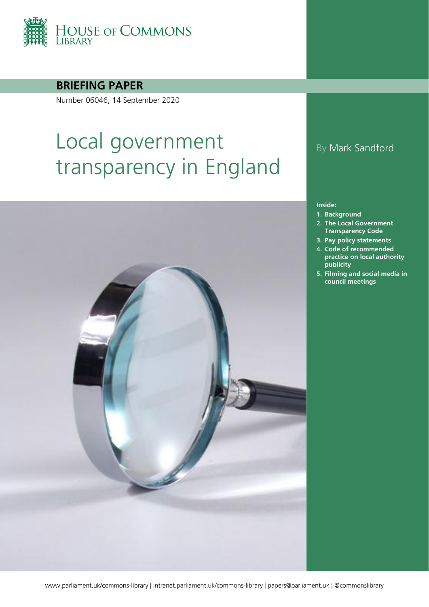

**BRIEFING PAPER**

Number 06046, 14 September 2020

# Local government transparency in England



#### By Mark Sandford

#### **Inside:**

- **1. [Background](#page-3-0)**
- **2. [The Local Government](#page-4-0)  [Transparency Code](#page-4-0)**
- **3. [Pay policy statements](#page-8-0)**
- **4. [Code of recommended](#page-9-0)  [practice on local authority](#page-9-0)  [publicity](#page-9-0)**
- **5. [Filming and social media in](#page-12-0)  [council meetings](#page-12-0)**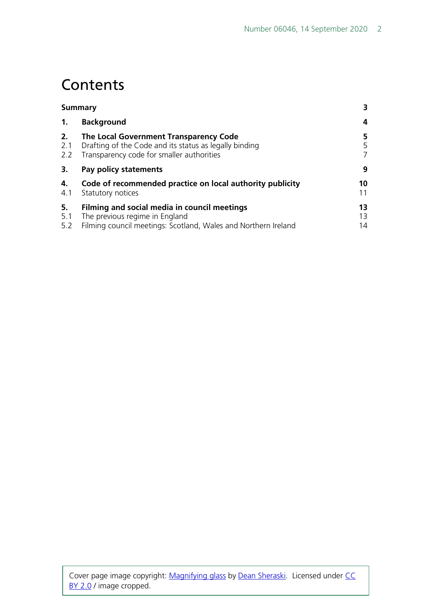# **Contents**

| <b>Summary</b>                                                                                                                                   |                          |
|--------------------------------------------------------------------------------------------------------------------------------------------------|--------------------------|
| <b>Background</b>                                                                                                                                | 4                        |
| The Local Government Transparency Code<br>Drafting of the Code and its status as legally binding<br>Transparency code for smaller authorities    | 5<br>5<br>$\overline{7}$ |
| Pay policy statements                                                                                                                            | 9                        |
| Code of recommended practice on local authority publicity<br>Statutory notices                                                                   | 10<br>11                 |
| Filming and social media in council meetings<br>The previous regime in England<br>Filming council meetings: Scotland, Wales and Northern Ireland | 13<br>13<br>14           |
|                                                                                                                                                  |                          |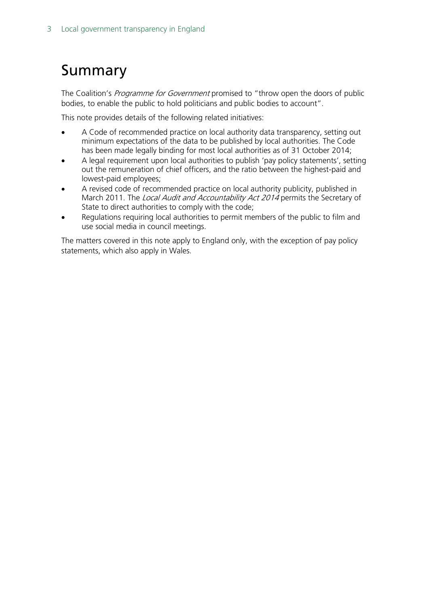# <span id="page-2-0"></span>Summary

The Coalition's Programme for Government promised to "throw open the doors of public bodies, to enable the public to hold politicians and public bodies to account".

This note provides details of the following related initiatives:

- A Code of recommended practice on local authority data transparency, setting out minimum expectations of the data to be published by local authorities. The Code has been made legally binding for most local authorities as of 31 October 2014;
- A legal requirement upon local authorities to publish 'pay policy statements', setting out the remuneration of chief officers, and the ratio between the highest-paid and lowest-paid employees;
- A revised code of recommended practice on local authority publicity, published in March 2011. The Local Audit and Accountability Act 2014 permits the Secretary of State to direct authorities to comply with the code;
- Regulations requiring local authorities to permit members of the public to film and use social media in council meetings.

The matters covered in this note apply to England only, with the exception of pay policy statements, which also apply in Wales.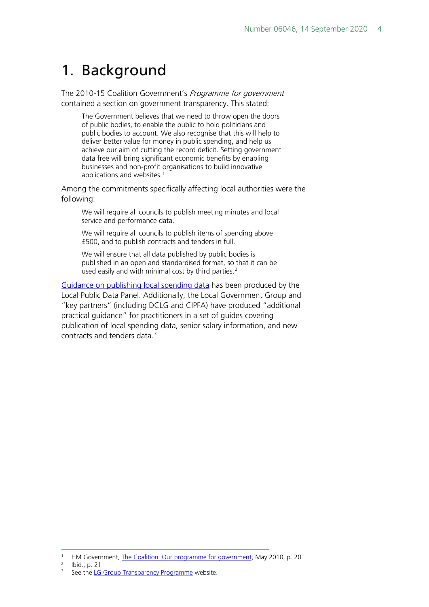# <span id="page-3-0"></span>1. Background

The 2010-15 Coalition Government's Programme for government contained a section on government transparency. This stated:

The Government believes that we need to throw open the doors of public bodies, to enable the public to hold politicians and public bodies to account. We also recognise that this will help to deliver better value for money in public spending, and help us achieve our aim of cutting the record deficit. Setting government data free will bring significant economic benefits by enabling businesses and non-profit organisations to build innovative applications and websites.<sup>[1](#page-3-1)</sup>

Among the commitments specifically affecting local authorities were the following:

We will require all councils to publish meeting minutes and local service and performance data.

We will require all councils to publish items of spending above £500, and to publish contracts and tenders in full.

We will ensure that all data published by public bodies is published in an open and standardised format, so that it can be used easily and with minimal cost by third parties.<sup>[2](#page-3-2)</sup>

[Guidance on publishing local spending data](http://data.gov.uk/blog/local-spending-data-guidance) has been produced by the Local Public Data Panel. Additionally, the Local Government Group and "key partners" (including DCLG and CIPFA) have produced "additional practical guidance" for practitioners in a set of guides covering publication of local spending data, senior salary information, and new contracts and tenders data.<sup>[3](#page-3-3)</sup>

<span id="page-3-1"></span><sup>&</sup>lt;sup>1</sup> HM Government, The Coalition: [Our programme for government,](http://webarchive.nationalarchives.gov.uk/20121015000000/http:/www.direct.gov.uk/prod_consum_dg/groups/dg_digitalassets/@dg/@en/documents/digitalasset/dg_187876.pdf) May 2010, p. 20

<span id="page-3-2"></span> $\frac{2}{3}$  Ibid., p. 21

<span id="page-3-3"></span>See the [LG Group Transparency Programme](http://lgtransparency.readandcomment.com/) website.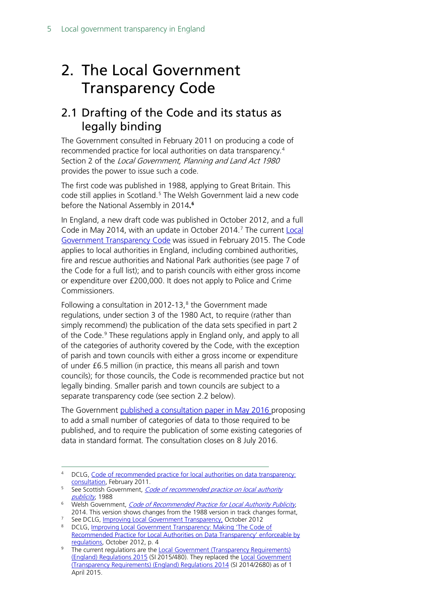# <span id="page-4-0"></span>2. The Local Government Transparency Code

#### <span id="page-4-1"></span>2.1 Drafting of the Code and its status as legally binding

The Government consulted in February 2011 on producing a code of recommended practice for local authorities on data transparency.<sup>[4](#page-4-2)</sup> Section 2 of the Local Government, Planning and Land Act 1980 provides the power to issue such a code.

The first code was published in 1988, applying to Great Britain. This code still applies in Scotland.<sup>[5](#page-4-3)</sup> The Welsh Government laid a new code before the National Assembly in 2014**. [6](#page-4-4)**

In England, a new draft code was published in October 2012, and a full Code in May 2014, with an update in October 2014.<sup>[7](#page-4-5)</sup> The current Local [Government Transparency Code](https://www.gov.uk/government/publications/local-government-transparency-code-2015) was issued in February 2015. The Code applies to local authorities in England, including combined authorities, fire and rescue authorities and National Park authorities (see page 7 of the Code for a full list); and to parish councils with either gross income or expenditure over £200,000. It does not apply to Police and Crime Commissioners.

Following a consultation in 2012-13, $8$  the Government made regulations, under section 3 of the 1980 Act, to require (rather than simply recommend) the publication of the data sets specified in part 2 of the Code.<sup>[9](#page-4-7)</sup> These regulations apply in England only, and apply to all of the categories of authority covered by the Code, with the exception of parish and town councils with either a gross income or expenditure of under £6.5 million (in practice, this means all parish and town councils); for those councils, the Code is recommended practice but not legally binding. Smaller parish and town councils are subject to a separate transparency code (see section 2.2 below).

The Government [published a consultation paper in May 2016 p](https://www.gov.uk/government/consultations/strengthening-local-government-transparency)roposing to add a small number of categories of data to those required to be published, and to require the publication of some existing categories of data in standard format. The consultation closes on 8 July 2016.

<span id="page-4-2"></span><sup>&</sup>lt;sup>4</sup> DCLG, Code of recommended practice for local authorities on data transparency:<br>consultation, February 2011.

<span id="page-4-3"></span>s See Scottish Government, *Code of recommended practice on local authority* [publicity](https://www.gov.scot/publications/local-authority-publicity-code-of-practice/), 1988

<span id="page-4-4"></span><sup>6</sup> Welsh Government, *[Code of Recommended Practice for Local Authority Publicity](https://business.senedd.wales/documents/s28757/CLA4-18-14%20-%20Paper%202.pdf)* 2014. This version shows changes from the 1988 version in track changes format,

<span id="page-4-5"></span><sup>&</sup>lt;sup>7</sup> See DCLG, **Improving Local Government Transparency**, October 2012

<span id="page-4-6"></span><sup>8</sup> DCLG, Improving Local Government Transparency: Making 'The Code of Recommended Practice for Local Authorities on Data Transparency' enforceable by [regulations,](https://www.gov.uk/government/consultations/improving-local-government-transparency) October 2012, p. 4

<span id="page-4-7"></span><sup>&</sup>lt;sup>9</sup> The current regulations are the Local Government (Transparency Requirements) [\(England\) Regulations 2015](http://www.legislation.gov.uk/uksi/2015/480/made) (SI 2015/480). They replaced the [Local Government](http://www.legislation.gov.uk/uksi/2014/2680/made)  [\(Transparency Requirements\) \(England\) Regulations 2014](http://www.legislation.gov.uk/uksi/2014/2680/made) (SI 2014/2680) as of 1 April 2015.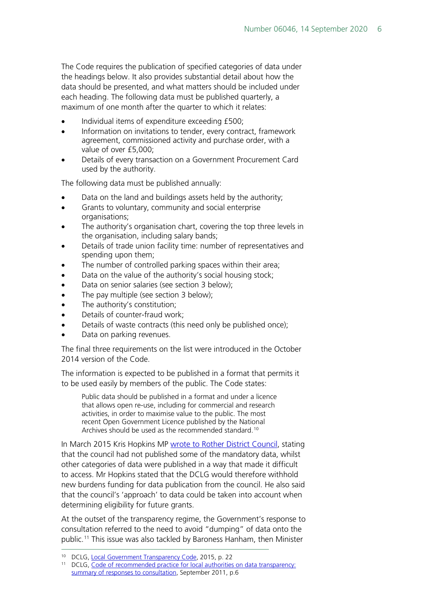The Code requires the publication of specified categories of data under the headings below. It also provides substantial detail about how the data should be presented, and what matters should be included under each heading. The following data must be published quarterly, a maximum of one month after the quarter to which it relates:

- Individual items of expenditure exceeding £500;
- Information on invitations to tender, every contract, framework agreement, commissioned activity and purchase order, with a value of over £5,000;
- Details of every transaction on a Government Procurement Card used by the authority.

The following data must be published annually:

- Data on the land and buildings assets held by the authority;
- Grants to voluntary, community and social enterprise organisations;
- The authority's organisation chart, covering the top three levels in the organisation, including salary bands;
- Details of trade union facility time: number of representatives and spending upon them;
- The number of controlled parking spaces within their area;
- Data on the value of the authority's social housing stock;
- Data on senior salaries (see section 3 below);
- The pay multiple (see section 3 below);
- The authority's constitution;
- Details of counter-fraud work;
- Details of waste contracts (this need only be published once);
- Data on parking revenues.

The final three requirements on the list were introduced in the October 2014 version of the Code.

The information is expected to be published in a format that permits it to be used easily by members of the public. The Code states:

Public data should be published in a format and under a licence that allows open re-use, including for commercial and research activities, in order to maximise value to the public. The most recent Open Government Licence published by the National Archives should be used as the recommended standard.<sup>[10](#page-5-0)</sup>

In March 2015 Kris Hopkins MP [wrote to Rother District Council,](https://www.gov.uk/government/uploads/system/uploads/attachment_data/file/414730/KH_to_Maynard_-_Transparency_Code.pdf) stating that the council had not published some of the mandatory data, whilst other categories of data were published in a way that made it difficult to access. Mr Hopkins stated that the DCLG would therefore withhold new burdens funding for data publication from the council. He also said that the council's 'approach' to data could be taken into account when determining eligibility for future grants.

At the outset of the transparency regime, the Government's response to consultation referred to the need to avoid "dumping" of data onto the public.[11](#page-5-1) This issue was also tackled by Baroness Hanham, then Minister

<span id="page-5-0"></span><sup>&</sup>lt;sup>10</sup> DCLG, [Local Government Transparency Code,](https://www.gov.uk/government/publications/local-government-transparency-code-2015) 2015, p. 22

<span id="page-5-1"></span><sup>11</sup> DCLG, [Code of recommended practice for local authorities on data transparency:](http://www.communities.gov.uk/documents/localgovernment/pdf/1985219.pdf)  [summary of responses to consultation,](http://www.communities.gov.uk/documents/localgovernment/pdf/1985219.pdf) September 2011, p.6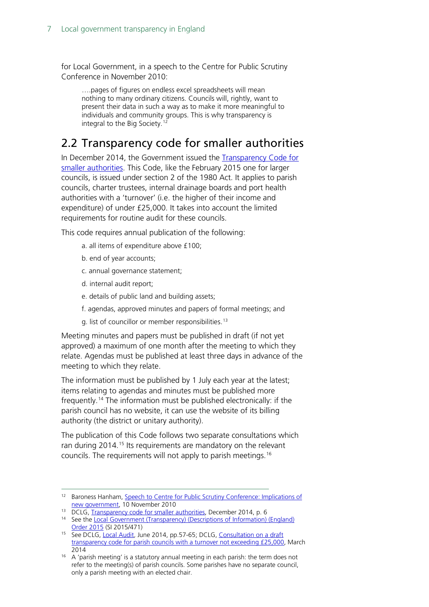for Local Government, in a speech to the Centre for Public Scrutiny Conference in November 2010:

….pages of figures on endless excel spreadsheets will mean nothing to many ordinary citizens. Councils will, rightly, want to present their data in such a way as to make it more meaningful to individuals and community groups. This is why transparency is integral to the Big Society.[12](#page-6-1)

### <span id="page-6-0"></span>2.2 Transparency code for smaller authorities

In December 2014, the Government issued the Transparency Code for [smaller authorities.](https://www.gov.uk/government/uploads/system/uploads/attachment_data/file/388541/Transparency_Code_for_Smaller_Authorities.pdf) This Code, like the February 2015 one for larger councils, is issued under section 2 of the 1980 Act. It applies to parish councils, charter trustees, internal drainage boards and port health authorities with a 'turnover' (i.e. the higher of their income and expenditure) of under £25,000. It takes into account the limited requirements for routine audit for these councils.

This code requires annual publication of the following:

- a. all items of expenditure above £100;
- b. end of year accounts;
- c. annual governance statement;
- d. internal audit report;
- e. details of public land and building assets;
- f. agendas, approved minutes and papers of formal meetings; and
- g. list of councillor or member responsibilities.[13](#page-6-2)

Meeting minutes and papers must be published in draft (if not yet approved) a maximum of one month after the meeting to which they relate. Agendas must be published at least three days in advance of the meeting to which they relate.

The information must be published by 1 July each year at the latest; items relating to agendas and minutes must be published more frequently.[14](#page-6-3) The information must be published electronically: if the parish council has no website, it can use the website of its billing authority (the district or unitary authority).

The publication of this Code follows two separate consultations which ran during 2014.<sup>[15](#page-6-4)</sup> Its requirements are mandatory on the relevant councils. The requirements will not apply to parish meetings.[16](#page-6-5)

<span id="page-6-1"></span><sup>&</sup>lt;sup>12</sup> Baroness Hanham, Speech to Centre for Public Scrutiny Conference: Implications of [new government,](http://www.communities.gov.uk/speeches/newsroom/1765639) 10 November 2010

<span id="page-6-2"></span><sup>13</sup> DCLG, [Transparency code for smaller authorities,](https://www.gov.uk/government/uploads/system/uploads/attachment_data/file/388541/Transparency_Code_for_Smaller_Authorities.pdf) December 2014, p. 6

<span id="page-6-3"></span><sup>&</sup>lt;sup>14</sup> See the Local Government (Transparency) (Descriptions of Information) (England) [Order 2015](http://www.legislation.gov.uk/uksi/2015/471/made) (SI 2015/471)

<span id="page-6-4"></span><sup>&</sup>lt;sup>15</sup> See DCLG, [Local Audit](https://www.gov.uk/government/uploads/system/uploads/attachment_data/file/324239/Local_Audit_Consultation3.pdf), June 2014, pp.57-65; DCLG, Consultation on a draft [transparency code for parish councils with a turnover not exceeding £25,000,](https://www.gov.uk/government/uploads/system/uploads/attachment_data/file/287921/140306_Consultation_on_a_draft_transparency_code_for_parish_councils.pdf) March 2014

<span id="page-6-5"></span> $16$  A 'parish meeting' is a statutory annual meeting in each parish: the term does not refer to the meeting(s) of parish councils. Some parishes have no separate council, only a parish meeting with an elected chair.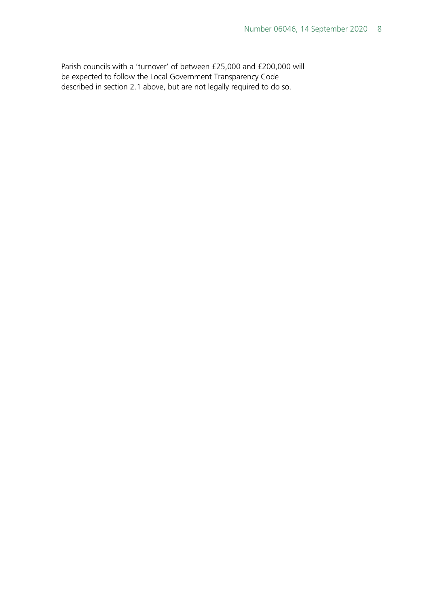Parish councils with a 'turnover' of between £25,000 and £200,000 will be expected to follow the Local Government Transparency Code described in section 2.1 above, but are not legally required to do so.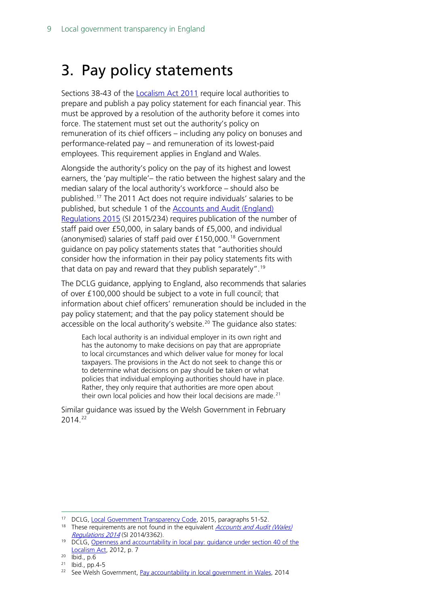# <span id="page-8-0"></span>3. Pay policy statements

Sections 38-43 of the **Localism Act 2011** require local authorities to prepare and publish a pay policy statement for each financial year. This must be approved by a resolution of the authority before it comes into force. The statement must set out the authority's policy on remuneration of its chief officers – including any policy on bonuses and performance-related pay – and remuneration of its lowest-paid employees. This requirement applies in England and Wales.

Alongside the authority's policy on the pay of its highest and lowest earners, the 'pay multiple'– the ratio between the highest salary and the median salary of the local authority's workforce – should also be published.[17](#page-8-1) The 2011 Act does not require individuals' salaries to be published, but schedule 1 of the **Accounts and Audit (England)** [Regulations 2015](http://www.legislation.gov.uk/uksi/2015/234/contents/made) (SI 2015/234) requires publication of the number of staff paid over £50,000, in salary bands of £5,000, and individual (anonymised) salaries of staff paid over £150,000.[18](#page-8-2) Government guidance on pay policy statements states that "authorities should consider how the information in their pay policy statements fits with that data on pay and reward that they publish separately".[19](#page-8-3)

The DCLG guidance, applying to England, also recommends that salaries of over £100,000 should be subject to a vote in full council; that information about chief officers' remuneration should be included in the pay policy statement; and that the pay policy statement should be accessible on the local authority's website.<sup>[20](#page-8-4)</sup> The quidance also states:

Each local authority is an individual employer in its own right and has the autonomy to make decisions on pay that are appropriate to local circumstances and which deliver value for money for local taxpayers. The provisions in the Act do not seek to change this or to determine what decisions on pay should be taken or what policies that individual employing authorities should have in place. Rather, they only require that authorities are more open about their own local policies and how their local decisions are made.<sup>[21](#page-8-5)</sup>

Similar guidance was issued by the Welsh Government in February 2014.[22](#page-8-6)

<span id="page-8-2"></span><span id="page-8-1"></span><sup>&</sup>lt;sup>17</sup> DCLG, [Local Government Transparency Code,](https://www.gov.uk/government/publications/local-government-transparency-code-2015) 2015, paragraphs 51-52.<br><sup>18</sup> These requirements are not found in the equivalent *Accounts and Audit (Wales)* [Regulations 2014](http://www.legislation.gov.uk/wsi/2014/3362/made) (SI 2014/3362).

<span id="page-8-3"></span><sup>&</sup>lt;sup>19</sup> DCLG, Openness and accountability in local pay: quidance under section 40 of the [Localism Act,](https://www.gov.uk/government/uploads/system/uploads/attachment_data/file/5956/2091042.pdf) 2012, p. 7

<sup>20</sup> Ibid., p.6

<span id="page-8-5"></span><span id="page-8-4"></span><sup>21</sup> Ibid., pp.4-5

<span id="page-8-6"></span><sup>&</sup>lt;sup>22</sup> See Welsh Government, [Pay accountability in local government in Wales,](http://wales.gov.uk/topics/localgovernment/finandfunding/publications/payaccount/?lang=en) 2014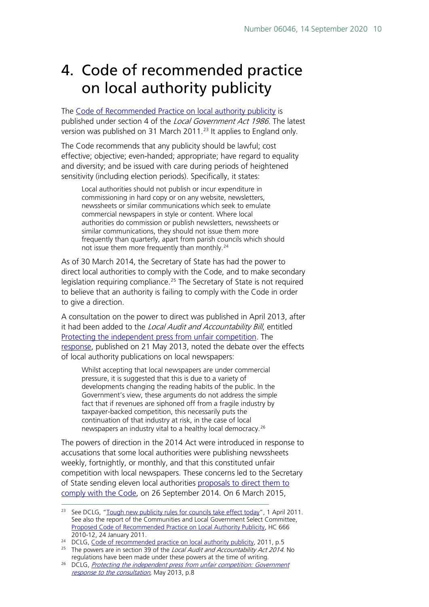# <span id="page-9-0"></span>4. Code of recommended practice on local authority publicity

The [Code of Recommended Practice on local authority publicity](https://www.gov.uk/government/publications/recommended-code-of-practice-for-local-authority-publicity) is published under section 4 of the Local Government Act 1986. The latest version was published on 31 March 2011.<sup>23</sup> It applies to England only.

The Code recommends that any publicity should be lawful; cost effective; objective; even-handed; appropriate; have regard to equality and diversity; and be issued with care during periods of heightened sensitivity (including election periods). Specifically, it states:

Local authorities should not publish or incur expenditure in commissioning in hard copy or on any website, newsletters, newssheets or similar communications which seek to emulate commercial newspapers in style or content. Where local authorities do commission or publish newsletters, newssheets or similar communications, they should not issue them more frequently than quarterly, apart from parish councils which should not issue them more frequently than monthly.<sup>[24](#page-9-2)</sup>

As of 30 March 2014, the Secretary of State has had the power to direct local authorities to comply with the Code, and to make secondary legislation requiring compliance.<sup>[25](#page-9-3)</sup> The Secretary of State is not required to believe that an authority is failing to comply with the Code in order to give a direction.

A consultation on the power to direct was published in April 2013, after it had been added to the Local Audit and Accountability Bill, entitled [Protecting the independent press from unfair competition.](https://www.gov.uk/government/consultations/protecting-the-independent-press-from-unfair-competition) The [response,](https://www.gov.uk/government/uploads/system/uploads/attachment_data/file/200751/Government_Response_to_Publicity_Code_consultation.pdf) published on 21 May 2013, noted the debate over the effects of local authority publications on local newspapers:

Whilst accepting that local newspapers are under commercial pressure, it is suggested that this is due to a variety of developments changing the reading habits of the public. In the Government's view, these arguments do not address the simple fact that if revenues are siphoned off from a fragile industry by taxpayer-backed competition, this necessarily puts the continuation of that industry at risk, in the case of local newspapers an industry vital to a healthy local democracy.[26](#page-9-4)

The powers of direction in the 2014 Act were introduced in response to accusations that some local authorities were publishing newssheets weekly, fortnightly, or monthly, and that this constituted unfair competition with local newspapers. These concerns led to the Secretary of State sending eleven local authorities proposals to direct them to [comply with the Code,](https://www.gov.uk/government/collections/code-of-practice-on-local-authority-publicity) on 26 September 2014. On 6 March 2015,

<span id="page-9-1"></span><sup>&</sup>lt;sup>23</sup> See DCLG, ["Tough new publicity rules for councils take effect today"](https://www.gov.uk/government/news/tough-new-publicity-rules-for-councils-take-effect-today), 1 April 2011. See also the report of the Communities and Local Government Select Committee, [Proposed Code of Recommended Practice on Local Authority Publicity,](http://www.publications.parliament.uk/pa/cm201011/cmselect/cmcomloc/666/666.pdf) HC 666<br>2010-12, 24 January 2011.

<span id="page-9-2"></span><sup>&</sup>lt;sup>24</sup> DCLG, [Code of recommended practice on local authority publicity,](https://www.gov.uk/government/uploads/system/uploads/attachment_data/file/5670/1878324.pdf) 2011, p.5

<span id="page-9-3"></span><sup>&</sup>lt;sup>25</sup> The powers are in section 39 of the *Local Audit and Accountability Act 2014*. No regulations have been made under these powers at the time of writing.

<span id="page-9-4"></span><sup>&</sup>lt;sup>26</sup> DCLG, Protecting the independent press from unfair competition: Government [response to the consultation](https://www.gov.uk/government/consultations/protecting-the-independent-press-from-unfair-competition), May 2013, p.8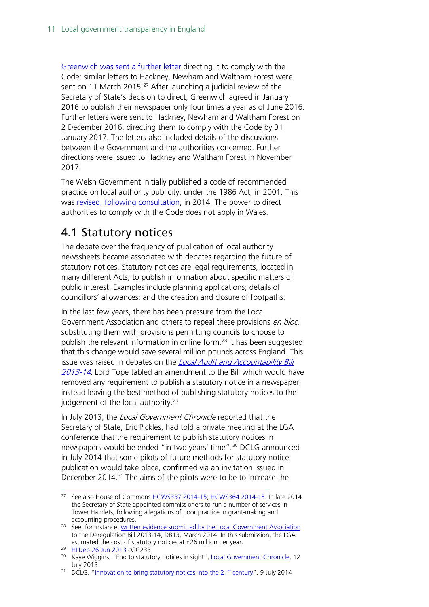[Greenwich was sent a further letter](https://www.gov.uk/government/publications/notice-of-a-direction-to-the-royal-borough-of-greenwich-council) directing it to comply with the Code; similar letters to Hackney, Newham and Waltham Forest were sent on 11 March 2015.<sup>[27](#page-10-1)</sup> After launching a judicial review of the Secretary of State's decision to direct, Greenwich agreed in January 2016 to publish their newspaper only four times a year as of June 2016. Further letters were sent to Hackney, Newham and Waltham Forest on 2 December 2016, directing them to comply with the Code by 31 January 2017. The letters also included details of the discussions between the Government and the authorities concerned. Further directions were issued to Hackney and Waltham Forest in November 2017.

The Welsh Government initially published a code of recommended practice on local authority publicity, under the 1986 Act, in 2001. This was [revised, following consultation,](http://gov.wales/topics/improvingservices/publications/local-authority-publicity-wales/?lang=en) in 2014. The power to direct authorities to comply with the Code does not apply in Wales.

### <span id="page-10-0"></span>4.1 Statutory notices

The debate over the frequency of publication of local authority newssheets became associated with debates regarding the future of statutory notices. Statutory notices are legal requirements, located in many different Acts, to publish information about specific matters of public interest. Examples include planning applications; details of councillors' allowances; and the creation and closure of footpaths.

In the last few years, there has been pressure from the Local Government Association and others to repeal these provisions en bloc, substituting them with provisions permitting councils to choose to publish the relevant information in online form.<sup>[28](#page-10-2)</sup> It has been suggested that this change would save several million pounds across England. This issue was raised in debates on the Local Audit and Accountability Bill [2013-14](http://services.parliament.uk/bills/2013-14/localauditandaccountability/stages.html). Lord Tope tabled an amendment to the Bill which would have removed any requirement to publish a statutory notice in a newspaper, instead leaving the best method of publishing statutory notices to the judgement of the local authority.<sup>[29](#page-10-3)</sup>

In July 2013, the Local Government Chronicle reported that the Secretary of State, Eric Pickles, had told a private meeting at the LGA conference that the requirement to publish statutory notices in newspapers would be ended "in two years' time".<sup>[30](#page-10-4)</sup> DCLG announced in July 2014 that some pilots of future methods for statutory notice publication would take place, confirmed via an invitation issued in December 2014.<sup>[31](#page-10-5)</sup> The aims of the pilots were to be to increase the

<span id="page-10-1"></span><sup>&</sup>lt;sup>27</sup> See also House of Commons [HCWS337 2014-15;](http://www.parliament.uk/business/publications/written-questions-answers-statements/written-statement/Commons/2015-03-03/HCWS337/) [HCWS364 2014-15.](http://www.parliament.uk/business/publications/written-questions-answers-statements/written-statement/Commons/2015-03-10/HCWS364/) In late 2014 the Secretary of State appointed commissioners to run a number of services in Tower Hamlets, following allegations of poor practice in grant-making and accounting procedures.

<span id="page-10-2"></span><sup>&</sup>lt;sup>28</sup> See, for instance, [written evidence submitted by the Local Government Association](http://www.publications.parliament.uk/pa/cm201314/cmpublic/deregulation/memo/db13.htm) to the Deregulation Bill 2013-14, DB13, March 2014. In this submission, the LGA estimated the cost of statutory notices at £26 million per year.

<span id="page-10-4"></span><span id="page-10-3"></span> $\frac{29}{30}$  $\frac{29}{30}$  $\frac{29}{30}$  HLDeb 26 Jun 2013 cGC233  $\frac{29}{30}$  Kaye Wiggins, "End to statutory notices in sight", [Local Government Chronicle,](http://www.lgcplus.com/briefings/corporate-core/finance/exclusive-end-to-statutory-notices-in-sight/5061078.article) 12 July 2013

<span id="page-10-5"></span><sup>&</sup>lt;sup>31</sup> DCLG, "Innovation to bring statutory notices into the 21<sup>st</sup> century", 9 July 2014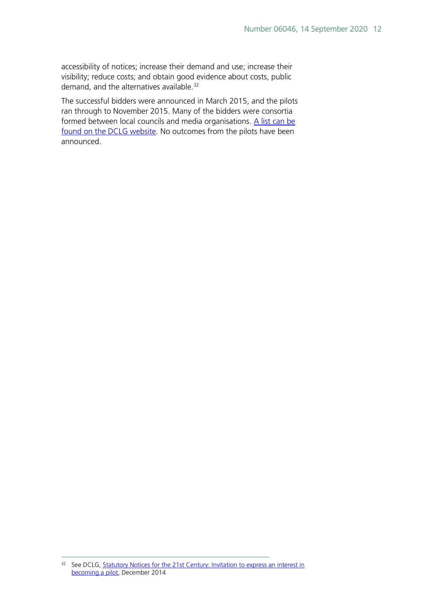accessibility of notices; increase their demand and use; increase their visibility; reduce costs; and obtain good evidence about costs, public demand, and the alternatives available.<sup>[32](#page-11-0)</sup>

The successful bidders were announced in March 2015, and the pilots ran through to November 2015. Many of the bidders were consortia formed between local councils and media organisations. A list can be [found on the DCLG website.](https://www.gov.uk/government/uploads/system/uploads/attachment_data/file/412935/Pilot_Areas.pdf) No outcomes from the pilots have been announced.

<span id="page-11-0"></span><sup>&</sup>lt;sup>32</sup> See DCLG, **Statutory Notices for the 21st Century: Invitation to express an interest in** [becoming a pilot,](https://www.gov.uk/government/uploads/system/uploads/attachment_data/file/390382/PUBLISHED_Statutory_Notice_Invitation.pdf) December 2014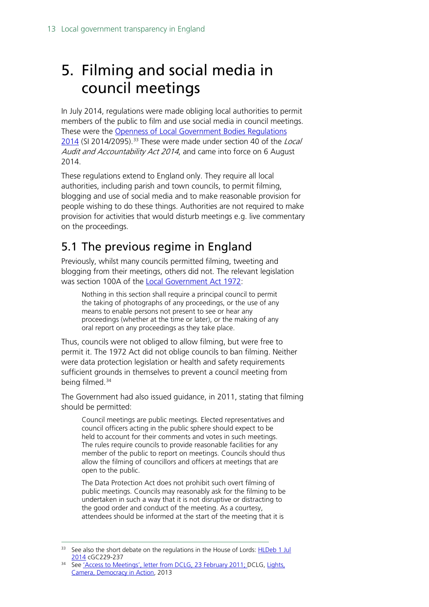# <span id="page-12-0"></span>5. Filming and social media in council meetings

In July 2014, regulations were made obliging local authorities to permit members of the public to film and use social media in council meetings. These were the [Openness of Local Government Bodies Regulations](http://www.legislation.gov.uk/uksi/2014/2095/contents/made)  [2014](http://www.legislation.gov.uk/uksi/2014/2095/contents/made) (SI 2014/2095).<sup>[33](#page-12-2)</sup> These were made under section 40 of the *Local* Audit and Accountability Act 2014, and came into force on 6 August 2014.

These regulations extend to England only. They require all local authorities, including parish and town councils, to permit filming, blogging and use of social media and to make reasonable provision for people wishing to do these things. Authorities are not required to make provision for activities that would disturb meetings e.g. live commentary on the proceedings.

### <span id="page-12-1"></span>5.1 The previous regime in England

Previously, whilst many councils permitted filming, tweeting and blogging from their meetings, others did not. The relevant legislation was section 100A of the **Local Government Act 1972**:

Nothing in this section shall require a principal council to permit the taking of photographs of any proceedings, or the use of any means to enable persons not present to see or hear any proceedings (whether at the time or later), or the making of any oral report on any proceedings as they take place.

Thus, councils were not obliged to allow filming, but were free to permit it. The 1972 Act did not oblige councils to ban filming. Neither were data protection legislation or health and safety requirements sufficient grounds in themselves to prevent a council meeting from being filmed.<sup>[34](#page-12-3)</sup>

The Government had also issued guidance, in 2011, stating that filming should be permitted:

Council meetings are public meetings. Elected representatives and council officers acting in the public sphere should expect to be held to account for their comments and votes in such meetings. The rules require councils to provide reasonable facilities for any member of the public to report on meetings. Councils should thus allow the filming of councillors and officers at meetings that are open to the public.

The Data Protection Act does not prohibit such overt filming of public meetings. Councils may reasonably ask for the filming to be undertaken in such a way that it is not disruptive or distracting to the good order and conduct of the meeting. As a courtesy, attendees should be informed at the start of the meeting that it is

<span id="page-12-2"></span><sup>&</sup>lt;sup>33</sup> See also the short debate on the regulations in the House of Lords: **HLDeb 1 Jul** [2014](http://www.publications.parliament.uk/pa/ld201415/ldhansrd/text/140701-gc0001.htm#14070159000139) cGC229-237

<span id="page-12-3"></span><sup>&</sup>lt;sup>34</sup> See ['Access to Meetings', letter from DCLG, 23 February 2011;](https://www.gov.uk/government/uploads/system/uploads/attachment_data/file/5635/1850773.pdf) DCLG, Lights, [Camera, Democracy in Action,](https://www.gov.uk/government/news/lights-camera-democracy-in-action) 2013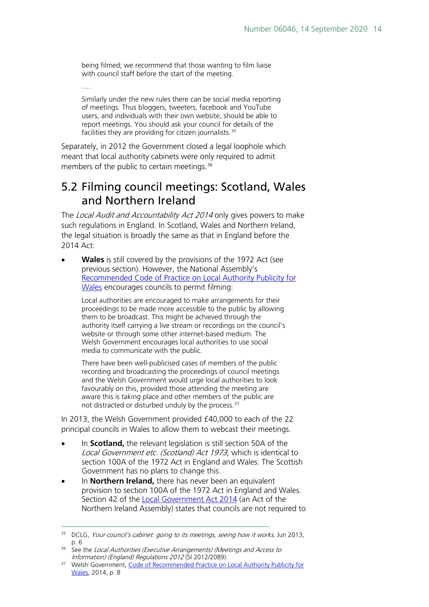being filmed; we recommend that those wanting to film liaise with council staff before the start of the meeting.

….

Similarly under the new rules there can be social media reporting of meetings. Thus bloggers, tweeters, facebook and YouTube users, and individuals with their own website, should be able to report meetings. You should ask your council for details of the facilities they are providing for citizen journalists.<sup>35</sup>

Separately, in 2012 the Government closed a legal loophole which meant that local authority cabinets were only required to admit members of the public to certain meetings.<sup>[36](#page-13-2)</sup>

### <span id="page-13-0"></span>5.2 Filming council meetings: Scotland, Wales and Northern Ireland

The Local Audit and Accountability Act 2014 only gives powers to make such regulations in England. In Scotland, Wales and Northern Ireland, the legal situation is broadly the same as that in England before the 2014 Act:

• **Wales** is still covered by the provisions of the 1972 Act (see previous section). However, the National Assembly's [Recommended Code of Practice on Local Authority Publicity for](http://gov.wales/topics/improvingservices/publications/local-authority-publicity-wales/?lang=en)  [Wales](http://gov.wales/topics/improvingservices/publications/local-authority-publicity-wales/?lang=en) encourages councils to permit filming:

Local authorities are encouraged to make arrangements for their proceedings to be made more accessible to the public by allowing them to be broadcast. This might be achieved through the authority itself carrying a live stream or recordings on the council's website or through some other internet-based medium. The Welsh Government encourages local authorities to use social media to communicate with the public.

There have been well-publicised cases of members of the public recording and broadcasting the proceedings of council meetings and the Welsh Government would urge local authorities to look favourably on this, provided those attending the meeting are aware this is taking place and other members of the public are not distracted or disturbed unduly by the process.<sup>[37](#page-13-3)</sup>

In 2013, the Welsh Government provided £40,000 to each of the 22 principal councils in Wales to allow them to webcast their meetings.

- In **Scotland,** the relevant legislation is still section 50A of the Local Government etc. (Scotland) Act 1973, which is identical to section 100A of the 1972 Act in England and Wales. The Scottish Government has no plans to change this.
- In **Northern Ireland,** there has never been an equivalent provision to section 100A of the 1972 Act in England and Wales. Section 42 of the [Local Government Act 2014](http://www.legislation.gov.uk/nia/2014/8/section/42/enacted) (an Act of the Northern Ireland Assembly) states that councils are not required to

<span id="page-13-1"></span><sup>&</sup>lt;sup>35</sup> DCLG, [Your council's cabinet: going to its meetings, seeing how it works](https://www.gov.uk/government/uploads/system/uploads/attachment_data/file/207528/Your_councils_cabinet_-_going_to_its_meetings_seeing_how_it_works.pdf), Jun 2013, p. 6

<span id="page-13-2"></span><sup>&</sup>lt;sup>36</sup> See the Local Authorities (Executive Arrangements) (Meetings and Access to [Information\) \(England\) Regulations 2012](http://www.legislation.gov.uk/uksi/2012/2089/contents/made) (SI 2012/2089).

<span id="page-13-3"></span><sup>&</sup>lt;sup>37</sup> Welsh Government, Code of Recommended Practice on Local Authority Publicity for [Wales,](http://gov.wales/docs/dpsp/publications/140814-local-authority-publicity-en.pdf) 2014, p. 8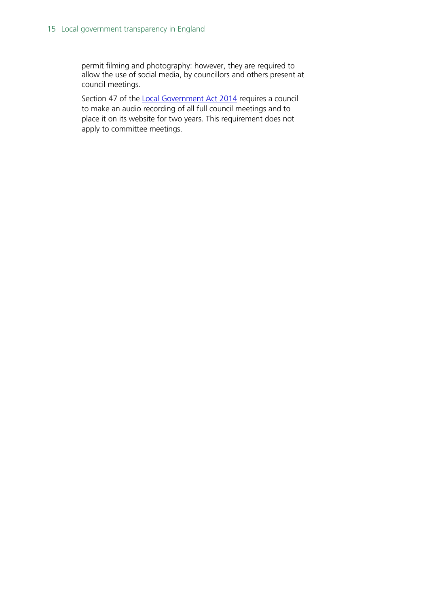permit filming and photography: however, they are required to allow the use of social media, by councillors and others present at council meetings.

Section 47 of the [Local Government Act 2014](http://www.legislation.gov.uk/nia/2014/8/section/42/enacted) requires a council to make an audio recording of all full council meetings and to place it on its website for two years. This requirement does not apply to committee meetings.